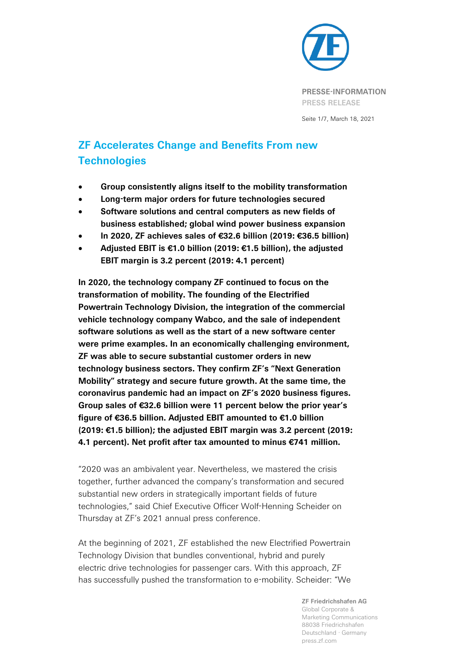

Seite 1/7, March 18, 2021

# **ZF Accelerates Change and Benefits From new Technologies**

- **Group consistently aligns itself to the mobility transformation**
- **Long-term major orders for future technologies secured**
- **Software solutions and central computers as new fields of business established; global wind power business expansion**
- **In 2020, ZF achieves sales of €32.6 billion (2019: €36.5 billion)**
- **Adjusted EBIT is €1.0 billion (2019: €1.5 billion), the adjusted EBIT margin is 3.2 percent (2019: 4.1 percent)**

**In 2020, the technology company ZF continued to focus on the transformation of mobility. The founding of the Electrified Powertrain Technology Division, the integration of the commercial vehicle technology company Wabco, and the sale of independent software solutions as well as the start of a new software center were prime examples. In an economically challenging environment, ZF was able to secure substantial customer orders in new technology business sectors. They confirm ZF's "Next Generation Mobility" strategy and secure future growth. At the same time, the coronavirus pandemic had an impact on ZF's 2020 business figures. Group sales of €32.6 billion were 11 percent below the prior year's figure of €36.5 billion. Adjusted EBIT amounted to €1.0 billion (2019: €1.5 billion); the adjusted EBIT margin was 3.2 percent (2019: 4.1 percent). Net profit after tax amounted to minus €741 million.**

"2020 was an ambivalent year. Nevertheless, we mastered the crisis together, further advanced the company's transformation and secured substantial new orders in strategically important fields of future technologies," said Chief Executive Officer Wolf-Henning Scheider on Thursday at ZF's 2021 annual press conference.

At the beginning of 2021, ZF established the new Electrified Powertrain Technology Division that bundles conventional, hybrid and purely electric drive technologies for passenger cars. With this approach, ZF has successfully pushed the transformation to e-mobility. Scheider: "We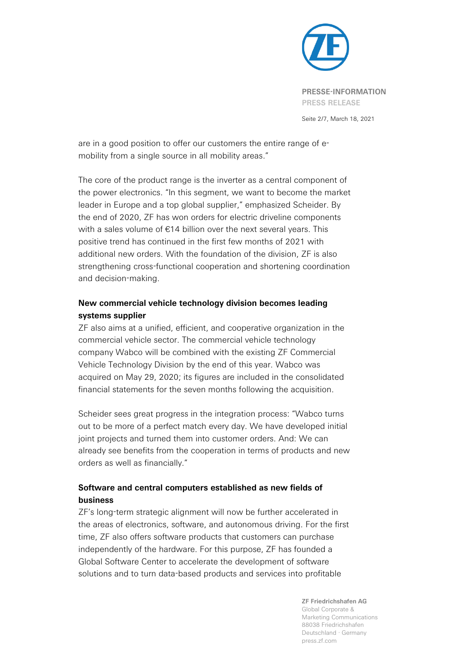

Seite 2/7, March 18, 2021

are in a good position to offer our customers the entire range of emobility from a single source in all mobility areas."

The core of the product range is the inverter as a central component of the power electronics. "In this segment, we want to become the market leader in Europe and a top global supplier," emphasized Scheider. By the end of 2020, ZF has won orders for electric driveline components with a sales volume of €14 billion over the next several years. This positive trend has continued in the first few months of 2021 with additional new orders. With the foundation of the division, ZF is also strengthening cross-functional cooperation and shortening coordination and decision-making.

# **New commercial vehicle technology division becomes leading systems supplier**

ZF also aims at a unified, efficient, and cooperative organization in the commercial vehicle sector. The commercial vehicle technology company Wabco will be combined with the existing ZF Commercial Vehicle Technology Division by the end of this year. Wabco was acquired on May 29, 2020; its figures are included in the consolidated financial statements for the seven months following the acquisition.

Scheider sees great progress in the integration process: "Wabco turns out to be more of a perfect match every day. We have developed initial joint projects and turned them into customer orders. And: We can already see benefits from the cooperation in terms of products and new orders as well as financially."

# **Software and central computers established as new fields of business**

ZF's long-term strategic alignment will now be further accelerated in the areas of electronics, software, and autonomous driving. For the first time, ZF also offers software products that customers can purchase independently of the hardware. For this purpose, ZF has founded a Global Software Center to accelerate the development of software solutions and to turn data-based products and services into profitable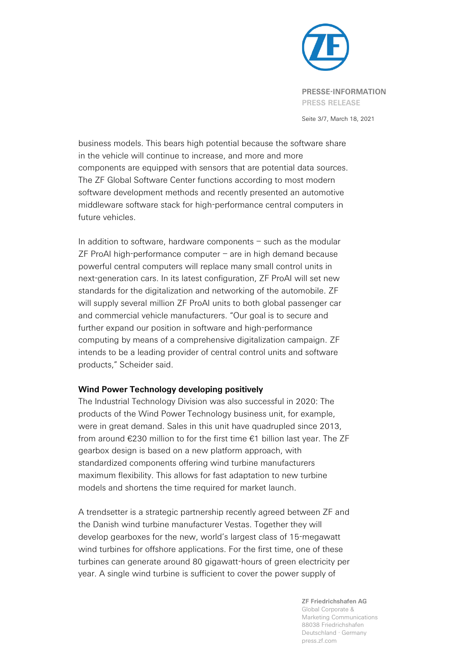

**PRESSE-INFORMATION PRESS RELEASE**

Seite 3/7, March 18, 2021

business models. This bears high potential because the software share in the vehicle will continue to increase, and more and more components are equipped with sensors that are potential data sources. The ZF Global Software Center functions according to most modern software development methods and recently presented an automotive middleware software stack for high-performance central computers in future vehicles.

In addition to software, hardware components  $-$  such as the modular  $ZF$  ProAI high-performance computer  $-$  are in high demand because powerful central computers will replace many small control units in next-generation cars. In its latest configuration, ZF ProAI will set new standards for the digitalization and networking of the automobile. ZF will supply several million ZF ProAI units to both global passenger car and commercial vehicle manufacturers. "Our goal is to secure and further expand our position in software and high-performance computing by means of a comprehensive digitalization campaign. ZF intends to be a leading provider of central control units and software products," Scheider said.

## **Wind Power Technology developing positively**

The Industrial Technology Division was also successful in 2020: The products of the Wind Power Technology business unit, for example, were in great demand. Sales in this unit have quadrupled since 2013, from around €230 million to for the first time €1 billion last year. The ZF gearbox design is based on a new platform approach, with standardized components offering wind turbine manufacturers maximum flexibility. This allows for fast adaptation to new turbine models and shortens the time required for market launch.

A trendsetter is a strategic partnership recently agreed between ZF and the Danish wind turbine manufacturer Vestas. Together they will develop gearboxes for the new, world's largest class of 15-megawatt wind turbines for offshore applications. For the first time, one of these turbines can generate around 80 gigawatt-hours of green electricity per year. A single wind turbine is sufficient to cover the power supply of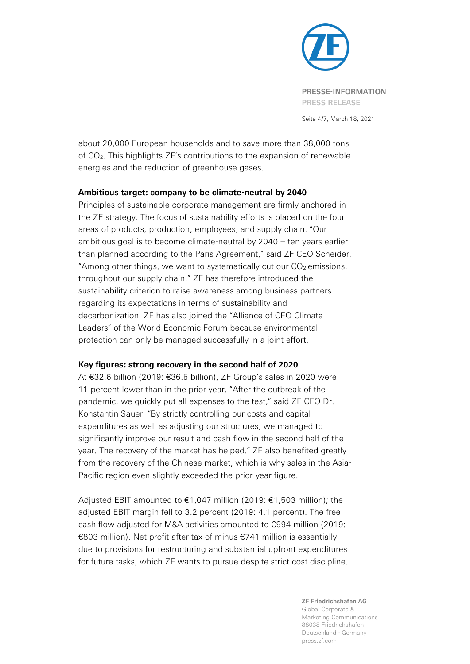

Seite 4/7, March 18, 2021

about 20,000 European households and to save more than 38,000 tons of CO2. This highlights ZF's contributions to the expansion of renewable energies and the reduction of greenhouse gases.

## **Ambitious target: company to be climate-neutral by 2040**

Principles of sustainable corporate management are firmly anchored in the ZF strategy. The focus of sustainability efforts is placed on the four areas of products, production, employees, and supply chain. "Our ambitious goal is to become climate-neutral by 2040 – ten years earlier than planned according to the Paris Agreement," said ZF CEO Scheider. "Among other things, we want to systematically cut our  $CO<sub>2</sub>$  emissions, throughout our supply chain." ZF has therefore introduced the sustainability criterion to raise awareness among business partners regarding its expectations in terms of sustainability and decarbonization. ZF has also joined the "Alliance of CEO Climate Leaders" of the World Economic Forum because environmental protection can only be managed successfully in a joint effort.

## **Key figures: strong recovery in the second half of 2020**

At €32.6 billion (2019: €36.5 billion), ZF Group's sales in 2020 were 11 percent lower than in the prior year. "After the outbreak of the pandemic, we quickly put all expenses to the test," said ZF CFO Dr. Konstantin Sauer. "By strictly controlling our costs and capital expenditures as well as adjusting our structures, we managed to significantly improve our result and cash flow in the second half of the year. The recovery of the market has helped." ZF also benefited greatly from the recovery of the Chinese market, which is why sales in the Asia-Pacific region even slightly exceeded the prior-year figure.

Adjusted EBIT amounted to €1,047 million (2019: €1,503 million); the adjusted EBIT margin fell to 3.2 percent (2019: 4.1 percent). The free cash flow adjusted for M&A activities amounted to €994 million (2019: €803 million). Net profit after tax of minus €741 million is essentially due to provisions for restructuring and substantial upfront expenditures for future tasks, which ZF wants to pursue despite strict cost discipline.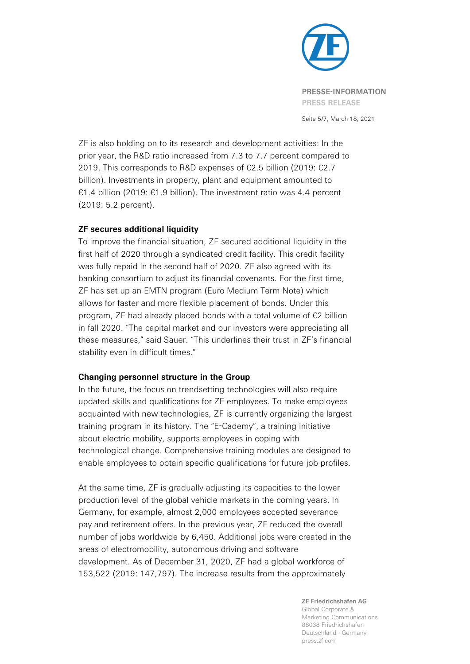

**PRESSE-INFORMATION PRESS RELEASE**

Seite 5/7, March 18, 2021

ZF is also holding on to its research and development activities: In the prior year, the R&D ratio increased from 7.3 to 7.7 percent compared to 2019. This corresponds to R&D expenses of €2.5 billion (2019: €2.7 billion). Investments in property, plant and equipment amounted to €1.4 billion (2019: €1.9 billion). The investment ratio was 4.4 percent (2019: 5.2 percent).

## **ZF secures additional liquidity**

To improve the financial situation, ZF secured additional liquidity in the first half of 2020 through a syndicated credit facility. This credit facility was fully repaid in the second half of 2020. ZF also agreed with its banking consortium to adjust its financial covenants. For the first time, ZF has set up an EMTN program (Euro Medium Term Note) which allows for faster and more flexible placement of bonds. Under this program, ZF had already placed bonds with a total volume of €2 billion in fall 2020. "The capital market and our investors were appreciating all these measures," said Sauer. "This underlines their trust in ZF's financial stability even in difficult times."

## **Changing personnel structure in the Group**

In the future, the focus on trendsetting technologies will also require updated skills and qualifications for ZF employees. To make employees acquainted with new technologies, ZF is currently organizing the largest training program in its history. The "E-Cademy", a training initiative about electric mobility, supports employees in coping with technological change. Comprehensive training modules are designed to enable employees to obtain specific qualifications for future job profiles.

At the same time, ZF is gradually adjusting its capacities to the lower production level of the global vehicle markets in the coming years. In Germany, for example, almost 2,000 employees accepted severance pay and retirement offers. In the previous year, ZF reduced the overall number of jobs worldwide by 6,450. Additional jobs were created in the areas of electromobility, autonomous driving and software development. As of December 31, 2020, ZF had a global workforce of 153,522 (2019: 147,797). The increase results from the approximately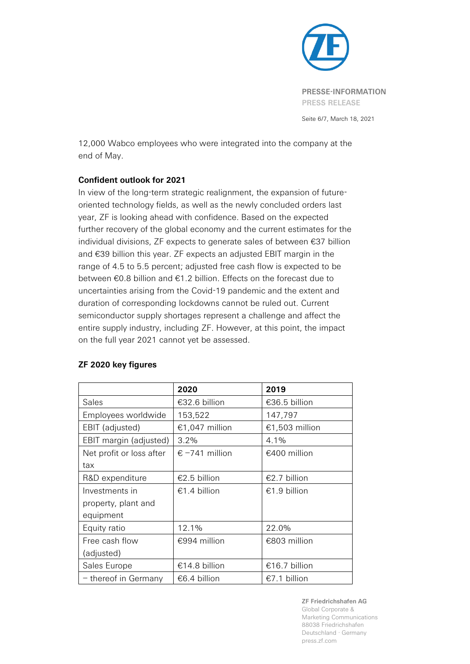

Seite 6/7, March 18, 2021

12,000 Wabco employees who were integrated into the company at the end of May.

# **Confident outlook for 2021**

In view of the long-term strategic realignment, the expansion of futureoriented technology fields, as well as the newly concluded orders last year, ZF is looking ahead with confidence. Based on the expected further recovery of the global economy and the current estimates for the individual divisions, ZF expects to generate sales of between €37 billion and €39 billion this year. ZF expects an adjusted EBIT margin in the range of 4.5 to 5.5 percent; adjusted free cash flow is expected to be between €0.8 billion and €1.2 billion. Effects on the forecast due to uncertainties arising from the Covid-19 pandemic and the extent and duration of corresponding lockdowns cannot be ruled out. Current semiconductor supply shortages represent a challenge and affect the entire supply industry, including ZF. However, at this point, the impact on the full year 2021 cannot yet be assessed.

|                          | 2020                    | 2019           |
|--------------------------|-------------------------|----------------|
| <b>Sales</b>             | €32.6 billion           | €36.5 billion  |
| Employees worldwide      | 153,522                 | 147,797        |
| EBIT (adjusted)          | €1,047 million          | €1,503 million |
| EBIT margin (adjusted)   | $3.2\%$                 | $4.1\%$        |
| Net profit or loss after | $\epsilon$ -741 million | €400 million   |
| tax                      |                         |                |
| R&D expenditure          | €2.5 billion            | €2.7 billion   |
| Investments in           | €1.4 billion            | €1.9 billion   |
| property, plant and      |                         |                |
| equipment                |                         |                |
| Equity ratio             | 12.1%                   | 22.0%          |
| Free cash flow           | €994 million            | €803 million   |
| (adjusted)               |                         |                |
| Sales Europe             | €14.8 billion           | €16.7 billion  |
| - thereof in Germany     | €6.4 billion            | €7.1 billion   |

## **ZF 2020 key figures**